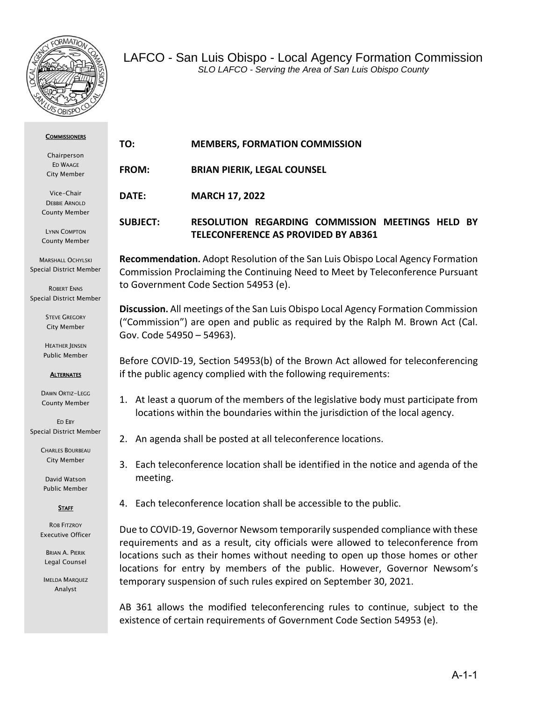

| <b>COMMISSIONERS</b><br>Chairperson<br>ED WAAGE<br>City Member             | TO:                                                                                                                                                                                                             | <b>MEMBERS, FORMATION COMMISSION</b>                                                                  |
|----------------------------------------------------------------------------|-----------------------------------------------------------------------------------------------------------------------------------------------------------------------------------------------------------------|-------------------------------------------------------------------------------------------------------|
|                                                                            | <b>FROM:</b>                                                                                                                                                                                                    | <b>BRIAN PIERIK, LEGAL COUNSEL</b>                                                                    |
| Vice-Chair<br><b>DEBBIE ARNOLD</b>                                         | DATE:                                                                                                                                                                                                           | <b>MARCH 17, 2022</b>                                                                                 |
| <b>County Member</b><br><b>LYNN COMPTON</b><br><b>County Member</b>        | <b>SUBJECT:</b>                                                                                                                                                                                                 | <b>RESOLUTION REGARDING COMMISSION MEETINGS HELD BY</b><br><b>TELECONFERENCE AS PROVIDED BY AB361</b> |
| <b>MARSHALL OCHYLSKI</b><br>Special District Member<br><b>DOPEDT ENNIC</b> | <b>Recommendation.</b> Adopt Resolution of the San Luis Obispo Local Agency Formation<br>Commission Proclaiming the Continuing Need to Meet by Teleconference Pursuant<br>to Government Code Section 54953 (e). |                                                                                                       |

ROBERT ENNS Special District Member

> **STEVE GREGORY** City Member

HEATHER JENSEN Public Member

**ALTERNATES** 

DAWN ORTIZ-LEGG County Member

ED EBY Special District Member

> CHARLES BOURBEAU City Member

David Watson Public Member

#### **STAFF**

ROB FITZROY Executive Officer

BRIAN A. PIERIK Legal Counsel

IMELDA MARQUEZ Analyst

**Discussion.** All meetings of the San Luis Obispo Local Agency Formation Commission ("Commission") are open and public as required by the Ralph M. Brown Act (Cal. Gov. Code 54950 – 54963).

Before COVID-19, Section 54953(b) of the Brown Act allowed for teleconferencing if the public agency complied with the following requirements:

1. At least a quorum of the members of the legislative body must participate from locations within the boundaries within the jurisdiction of the local agency.

- 2. An agenda shall be posted at all teleconference locations.
- 3. Each teleconference location shall be identified in the notice and agenda of the meeting.
- 4. Each teleconference location shall be accessible to the public.

Due to COVID-19, Governor Newsom temporarily suspended compliance with these requirements and as a result, city officials were allowed to teleconference from locations such as their homes without needing to open up those homes or other locations for entry by members of the public. However, Governor Newsom's temporary suspension of such rules expired on September 30, 2021.

AB 361 allows the modified teleconferencing rules to continue, subject to the existence of certain requirements of Government Code Section 54953 (e).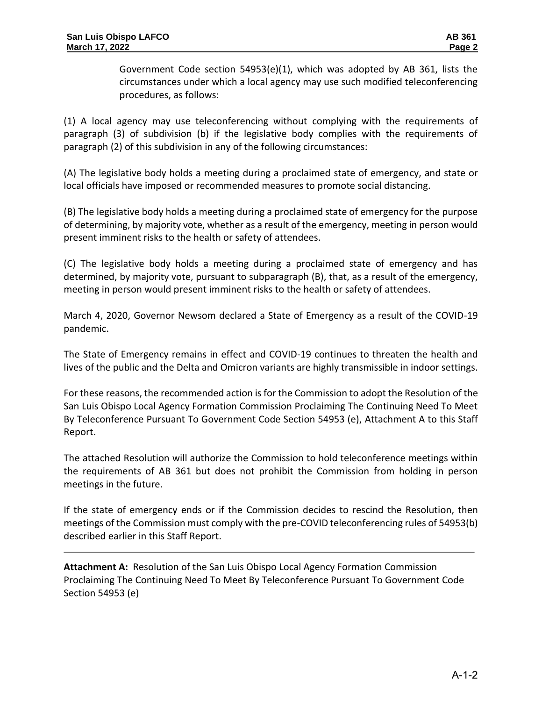Government Code section 54953(e)(1), which was adopted by AB 361, lists the circumstances under which a local agency may use such modified teleconferencing procedures, as follows:

(1) A local agency may use teleconferencing without complying with the requirements of paragraph (3) of subdivision (b) if the legislative body complies with the requirements of paragraph (2) of this subdivision in any of the following circumstances:

(A) The legislative body holds a meeting during a proclaimed state of emergency, and state or local officials have imposed or recommended measures to promote social distancing.

(B) The legislative body holds a meeting during a proclaimed state of emergency for the purpose of determining, by majority vote, whether as a result of the emergency, meeting in person would present imminent risks to the health or safety of attendees.

(C) The legislative body holds a meeting during a proclaimed state of emergency and has determined, by majority vote, pursuant to subparagraph (B), that, as a result of the emergency, meeting in person would present imminent risks to the health or safety of attendees.

March 4, 2020, Governor Newsom declared a State of Emergency as a result of the COVID-19 pandemic.

The State of Emergency remains in effect and COVID-19 continues to threaten the health and lives of the public and the Delta and Omicron variants are highly transmissible in indoor settings.

For these reasons, the recommended action is for the Commission to adopt the Resolution of the San Luis Obispo Local Agency Formation Commission Proclaiming The Continuing Need To Meet By Teleconference Pursuant To Government Code Section 54953 (e), Attachment A to this Staff Report.

The attached Resolution will authorize the Commission to hold teleconference meetings within the requirements of AB 361 but does not prohibit the Commission from holding in person meetings in the future.

If the state of emergency ends or if the Commission decides to rescind the Resolution, then meetings of the Commission must comply with the pre-COVID teleconferencing rules of 54953(b) described earlier in this Staff Report.

**Attachment A:** Resolution of the San Luis Obispo Local Agency Formation Commission Proclaiming The Continuing Need To Meet By Teleconference Pursuant To Government Code Section 54953 (e)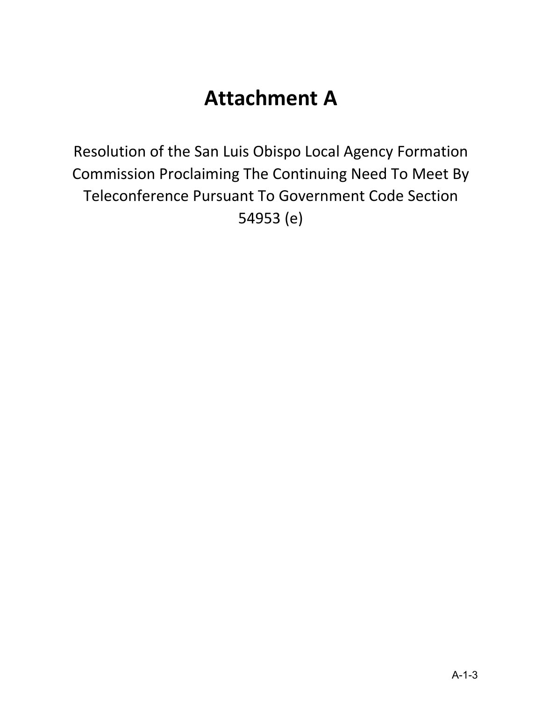# **Attachment A**

Resolution of the San Luis Obispo Local Agency Formation Commission Proclaiming The Continuing Need To Meet By Teleconference Pursuant To Government Code Section 54953 (e)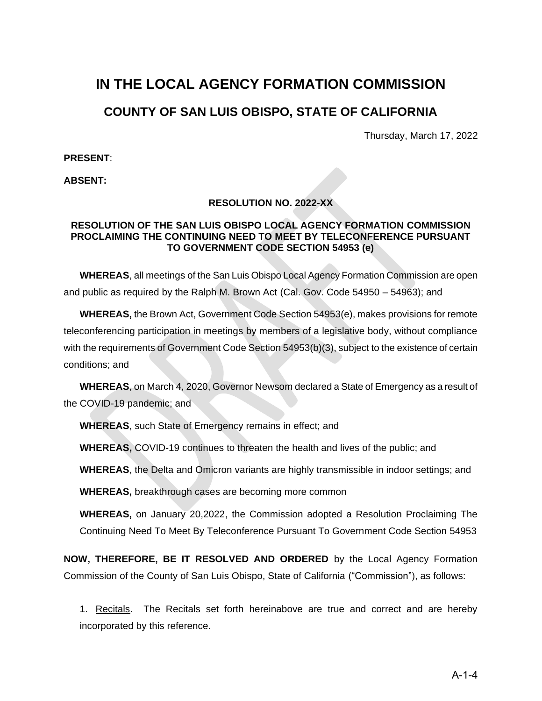# **IN THE LOCAL AGENCY FORMATION COMMISSION**

# **COUNTY OF SAN LUIS OBISPO, STATE OF CALIFORNIA**

Thursday, March 17, 2022

**PRESENT**:

**ABSENT:**

#### **RESOLUTION NO. 2022-XX**

#### **RESOLUTION OF THE SAN LUIS OBISPO LOCAL AGENCY FORMATION COMMISSION PROCLAIMING THE CONTINUING NEED TO MEET BY TELECONFERENCE PURSUANT TO GOVERNMENT CODE SECTION 54953 (e)**

**WHEREAS**, all meetings of the San Luis Obispo Local Agency Formation Commission are open and public as required by the Ralph M. Brown Act (Cal. Gov. Code 54950 – 54963); and

**WHEREAS,** the Brown Act, Government Code Section 54953(e), makes provisions for remote teleconferencing participation in meetings by members of a legislative body, without compliance with the requirements of Government Code Section 54953(b)(3), subject to the existence of certain conditions; and

**WHEREAS**, on March 4, 2020, Governor Newsom declared a State of Emergency as a result of the COVID-19 pandemic; and

**WHEREAS**, such State of Emergency remains in effect; and

**WHEREAS,** COVID-19 continues to threaten the health and lives of the public; and

**WHEREAS**, the Delta and Omicron variants are highly transmissible in indoor settings; and

**WHEREAS,** breakthrough cases are becoming more common

**WHEREAS,** on January 20,2022, the Commission adopted a Resolution Proclaiming The Continuing Need To Meet By Teleconference Pursuant To Government Code Section 54953

**NOW, THEREFORE, BE IT RESOLVED AND ORDERED** by the Local Agency Formation Commission of the County of San Luis Obispo, State of California ("Commission"), as follows:

1. Recitals. The Recitals set forth hereinabove are true and correct and are hereby incorporated by this reference.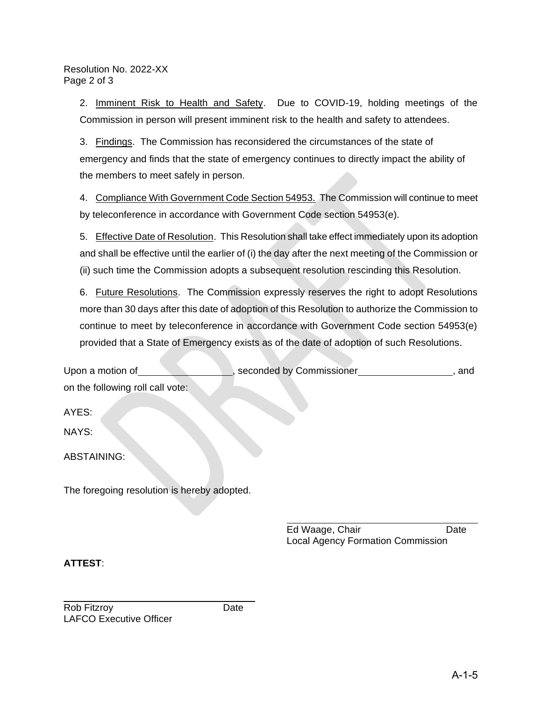#### Resolution No. 2022-XX Page 2 of 3

2. Imminent Risk to Health and Safety. Due to COVID-19, holding meetings of the Commission in person will present imminent risk to the health and safety to attendees.

3. Findings. The Commission has reconsidered the circumstances of the state of emergency and finds that the state of emergency continues to directly impact the ability of the members to meet safely in person.

4. Compliance With Government Code Section 54953. The Commission will continue to meet by teleconference in accordance with Government Code section 54953(e).

5. Effective Date of Resolution. This Resolution shall take effect immediately upon its adoption and shall be effective until the earlier of (i) the day after the next meeting of the Commission or (ii) such time the Commission adopts a subsequent resolution rescinding this Resolution.

6. Future Resolutions. The Commission expressly reserves the right to adopt Resolutions more than 30 days after this date of adoption of this Resolution to authorize the Commission to continue to meet by teleconference in accordance with Government Code section 54953(e) provided that a State of Emergency exists as of the date of adoption of such Resolutions.

| Upon a motion of                            | seconded by Commissioner | and |
|---------------------------------------------|--------------------------|-----|
| on the following roll call vote:            |                          |     |
| AYES:                                       |                          |     |
| NAYS:                                       |                          |     |
| ABSTAINING:                                 |                          |     |
| The foregoing resolution is hereby adopted. |                          |     |

Ed Waage, Chair **Date** Local Agency Formation Commission

### **ATTEST**: